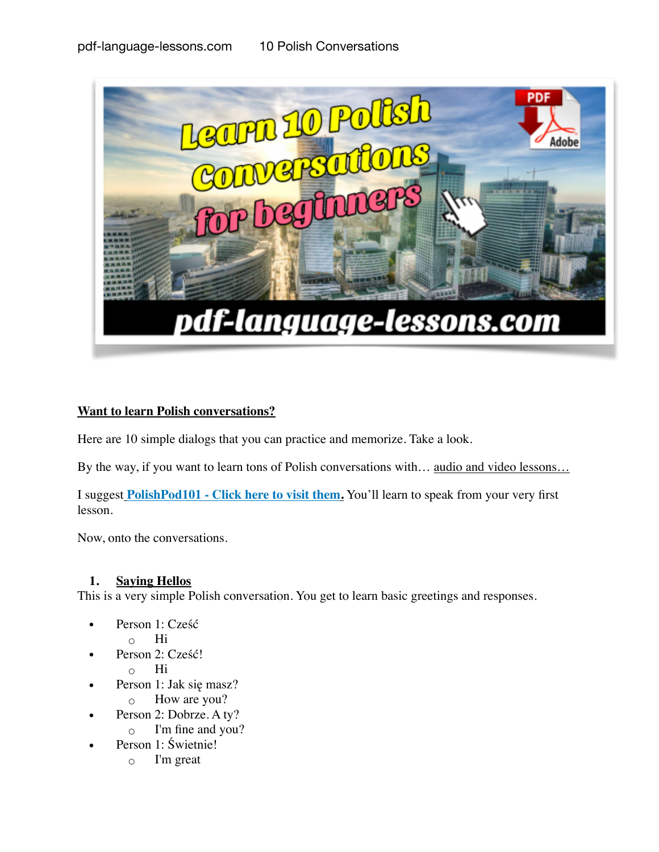

# **Want to learn Polish conversations?**

Here are 10 simple dialogs that you can practice and memorize. Take a look.

By the way, if you want to learn tons of Polish conversations with... audio and video lessons...

I suggest **[PolishPod101 - Click here to visit them](https://www.polishpod101.com/member/go.php?r=47992&l=uggcf://jjj.cbyvfucbq101.pbz/fvtahc?fep=yvathnwhaxvr-cqswrss-cbyvfu-pbairefngvba-CQS).** You'll learn to speak from your very first lesson.

Now, onto the conversations.

### **1. Saying Hellos**

This is a very simple Polish conversation. You get to learn basic greetings and responses.

- Person 1: Cześć
	- Hi
- Person 2: Cześć!
	- Hi
- Person 1: Jak się masz?
	- How are you?
- Person 2: Dobrze. A ty?
	- I'm fine and you?
- Person 1: Świetnie!
	- I'm great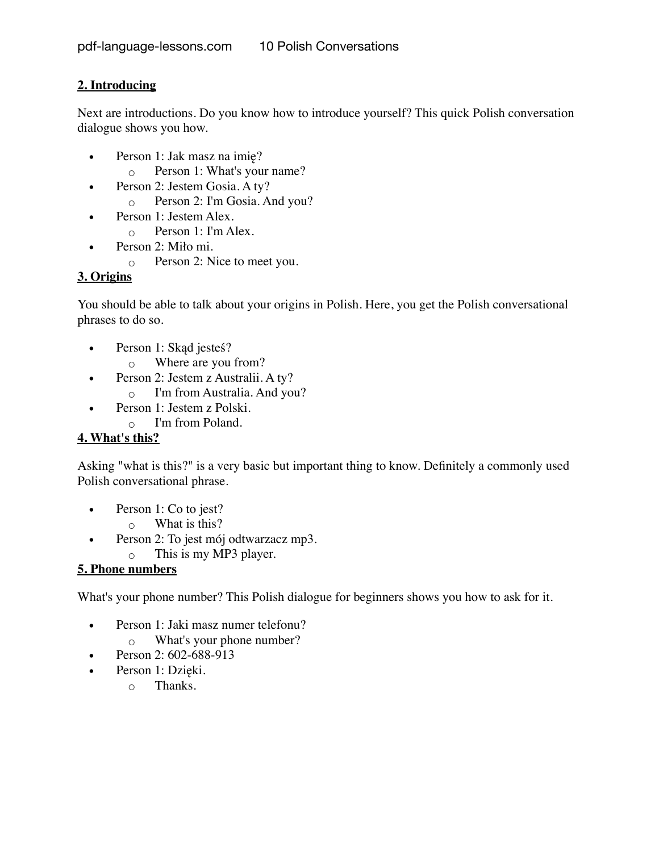# **2. Introducing**

Next are introductions. Do you know how to introduce yourself? This quick Polish conversation dialogue shows you how.

- Person 1: Jak masz na imię?
	- Person 1: What's your name?
- Person 2: Jestem Gosia. A ty?
	- Person 2: I'm Gosia. And you?
- Person 1: Jestem Alex.
	- Person 1: I'm Alex.
- Person 2: Miło mi.
	- Person 2: Nice to meet you.

# **3. Origins**

You should be able to talk about your origins in Polish. Here, you get the Polish conversational phrases to do so.

- Person 1: Skąd jesteś?
	- Where are you from?
- Person 2: Jestem z Australii. A ty?
	- I'm from Australia. And you?
- Person 1: Jestem z Polski.
	- I'm from Poland.

# **4. What's this?**

Asking "what is this?" is a very basic but important thing to know. Definitely a commonly used Polish conversational phrase.

- Person 1: Co to jest?
	- $\circ$  What is this?
- Person 2: To jest mój odtwarzacz mp3.
	- This is my MP3 player.

# **5. Phone numbers**

What's your phone number? This Polish dialogue for beginners shows you how to ask for it.

- Person 1: Jaki masz numer telefonu?
	- What's your phone number?
- Person 2: 602-688-913
- Person 1: Dzięki.
	- Thanks.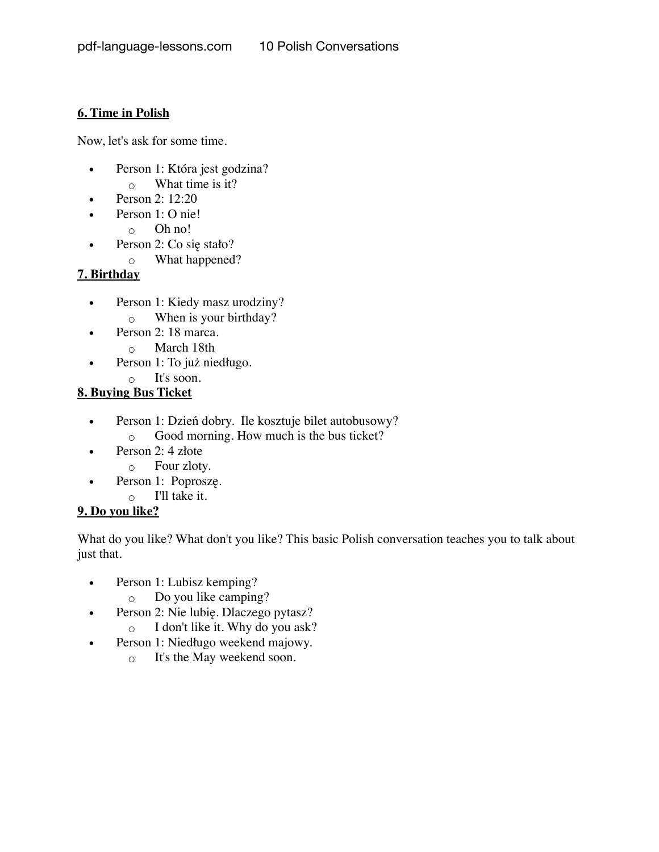### **6. Time in Polish**

Now, let's ask for some time.

- Person 1: Która jest godzina?
	- What time is it?
- Person 2: 12:20
- Person 1: O nie!
	- Oh no!
- Person 2: Co się stało?
	- What happened?

# **7. Birthday**

- Person 1: Kiedy masz urodziny? ◦ When is your birthday?
- Person 2: 18 marca.
	- March 18th
- Person 1: To już niedługo.
	- It's soon.

# **8. Buying Bus Ticket**

- Person 1: Dzień dobry. Ile kosztuje bilet autobusowy?
	- Good morning. How much is the bus ticket?
- Person 2: 4 złote
	- Four zloty.
- Person 1: Poproszę.
	- I'll take it.

# **9. Do you like?**

What do you like? What don't you like? This basic Polish conversation teaches you to talk about just that.

- Person 1: Lubisz kemping?
	- Do you like camping?
- Person 2: Nie lubię. Dlaczego pytasz?<br> $\overline{O}$  I don't like it. Why do you ask?
	- I don't like it. Why do you ask?
- Person 1: Niedługo weekend majowy.
	- It's the May weekend soon.